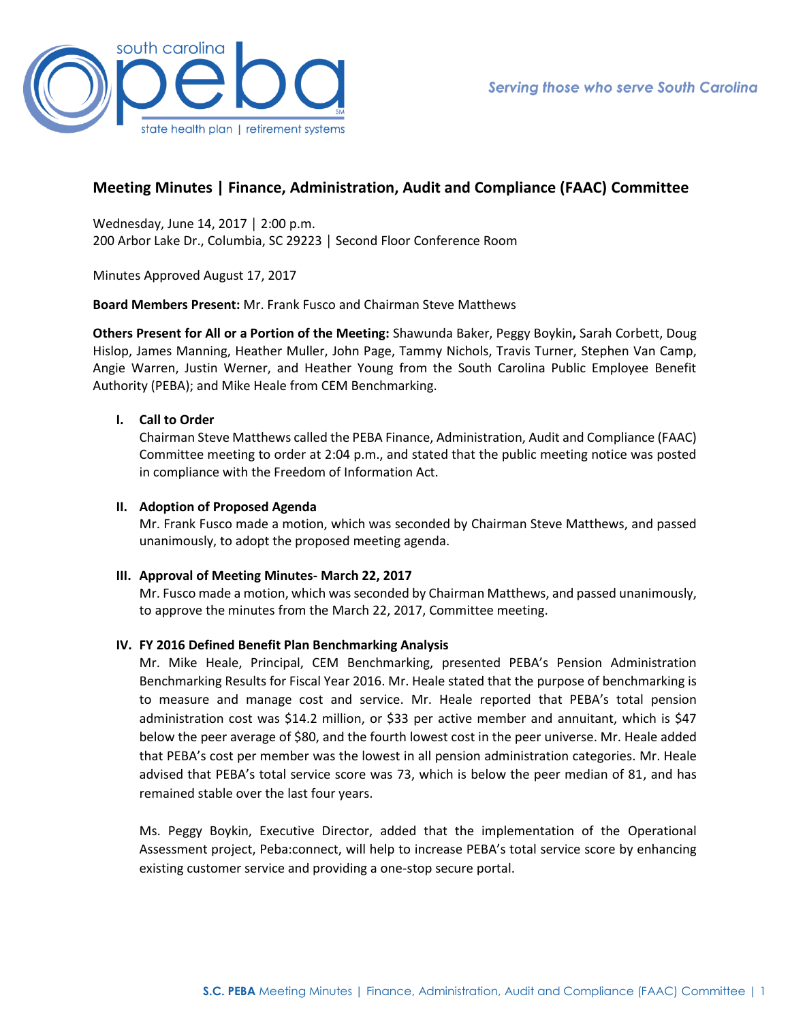

# **Meeting Minutes | Finance, Administration, Audit and Compliance (FAAC) Committee**

Wednesday, June 14, 2017 │ 2:00 p.m. 200 Arbor Lake Dr., Columbia, SC 29223 │ Second Floor Conference Room

Minutes Approved August 17, 2017

**Board Members Present:** Mr. Frank Fusco and Chairman Steve Matthews

**Others Present for All or a Portion of the Meeting:** Shawunda Baker, Peggy Boykin**,** Sarah Corbett, Doug Hislop, James Manning, Heather Muller, John Page, Tammy Nichols, Travis Turner, Stephen Van Camp, Angie Warren, Justin Werner, and Heather Young from the South Carolina Public Employee Benefit Authority (PEBA); and Mike Heale from CEM Benchmarking.

#### **I. Call to Order**

Chairman Steve Matthews called the PEBA Finance, Administration, Audit and Compliance (FAAC) Committee meeting to order at 2:04 p.m., and stated that the public meeting notice was posted in compliance with the Freedom of Information Act.

#### **II. Adoption of Proposed Agenda**

Mr. Frank Fusco made a motion, which was seconded by Chairman Steve Matthews, and passed unanimously, to adopt the proposed meeting agenda.

#### **III. Approval of Meeting Minutes- March 22, 2017**

Mr. Fusco made a motion, which was seconded by Chairman Matthews, and passed unanimously, to approve the minutes from the March 22, 2017, Committee meeting.

#### **IV. FY 2016 Defined Benefit Plan Benchmarking Analysis**

Mr. Mike Heale, Principal, CEM Benchmarking, presented PEBA's Pension Administration Benchmarking Results for Fiscal Year 2016. Mr. Heale stated that the purpose of benchmarking is to measure and manage cost and service. Mr. Heale reported that PEBA's total pension administration cost was \$14.2 million, or \$33 per active member and annuitant, which is \$47 below the peer average of \$80, and the fourth lowest cost in the peer universe. Mr. Heale added that PEBA's cost per member was the lowest in all pension administration categories. Mr. Heale advised that PEBA's total service score was 73, which is below the peer median of 81, and has remained stable over the last four years.

Ms. Peggy Boykin, Executive Director, added that the implementation of the Operational Assessment project, Peba:connect, will help to increase PEBA's total service score by enhancing existing customer service and providing a one-stop secure portal.